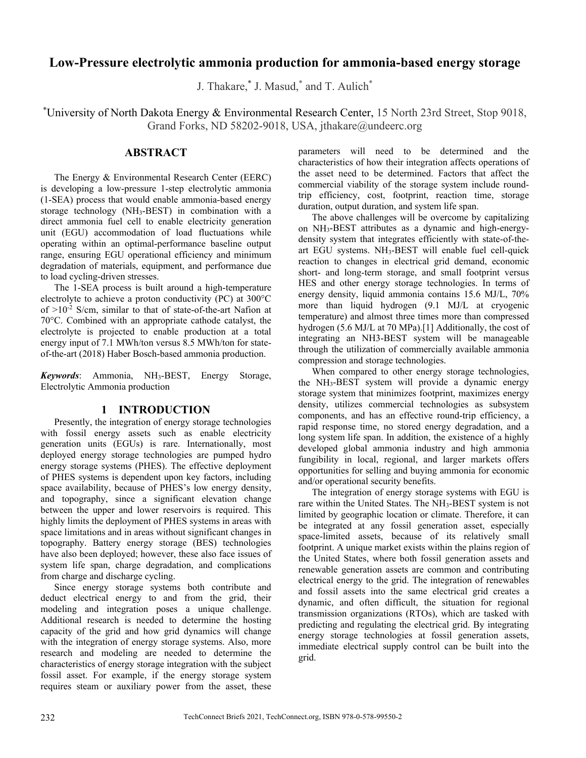# **Low-Pressure electrolytic ammonia production for ammonia-based energy storage**

J. Thakare,<sup>\*</sup> J. Masud,<sup>\*</sup> and T. Aulich<sup>\*</sup>

\* University of North Dakota Energy & Environmental Research Center, 15 North 23rd Street, Stop 9018, Grand Forks, ND 58202-9018, USA, jthakare@undeerc.org

## **ABSTRACT**

The Energy & Environmental Research Center (EERC) is developing a low-pressure 1-step electrolytic ammonia (1-SEA) process that would enable ammonia-based energy storage technology (NH3-BEST) in combination with a direct ammonia fuel cell to enable electricity generation unit (EGU) accommodation of load fluctuations while operating within an optimal-performance baseline output range, ensuring EGU operational efficiency and minimum degradation of materials, equipment, and performance due to load cycling-driven stresses.

The 1-SEA process is built around a high-temperature electrolyte to achieve a proton conductivity (PC) at 300°C of  $>10^{-2}$  S/cm, similar to that of state-of-the-art Nafion at 70°C. Combined with an appropriate cathode catalyst, the electrolyte is projected to enable production at a total energy input of 7.1 MWh/ton versus 8.5 MWh/ton for stateof-the-art (2018) Haber Bosch-based ammonia production.

*Keywords*: Ammonia, NH3-BEST, Energy Storage, Electrolytic Ammonia production

#### **1 INTRODUCTION**

Presently, the integration of energy storage technologies with fossil energy assets such as enable electricity generation units (EGUs) is rare. Internationally, most deployed energy storage technologies are pumped hydro energy storage systems (PHES). The effective deployment of PHES systems is dependent upon key factors, including space availability, because of PHES's low energy density, and topography, since a significant elevation change between the upper and lower reservoirs is required. This highly limits the deployment of PHES systems in areas with space limitations and in areas without significant changes in topography. Battery energy storage (BES) technologies have also been deployed; however, these also face issues of system life span, charge degradation, and complications from charge and discharge cycling.

Since energy storage systems both contribute and deduct electrical energy to and from the grid, their modeling and integration poses a unique challenge. Additional research is needed to determine the hosting capacity of the grid and how grid dynamics will change with the integration of energy storage systems. Also, more research and modeling are needed to determine the characteristics of energy storage integration with the subject fossil asset. For example, if the energy storage system requires steam or auxiliary power from the asset, these

parameters will need to be determined and the characteristics of how their integration affects operations of the asset need to be determined. Factors that affect the commercial viability of the storage system include roundtrip efficiency, cost, footprint, reaction time, storage duration, output duration, and system life span.

The above challenges will be overcome by capitalizing on NH3-BEST attributes as a dynamic and high-energydensity system that integrates efficiently with state-of-theart EGU systems.  $NH_3$ -BEST will enable fuel cell-quick reaction to changes in electrical grid demand, economic short- and long-term storage, and small footprint versus HES and other energy storage technologies. In terms of energy density, liquid ammonia contains 15.6 MJ/L, 70% more than liquid hydrogen (9.1 MJ/L at cryogenic temperature) and almost three times more than compressed hydrogen (5.6 MJ/L at 70 MPa).[1] Additionally, the cost of integrating an NH3-BEST system will be manageable through the utilization of commercially available ammonia compression and storage technologies.

When compared to other energy storage technologies, the NH3-BEST system will provide a dynamic energy storage system that minimizes footprint, maximizes energy density, utilizes commercial technologies as subsystem components, and has an effective round-trip efficiency, a rapid response time, no stored energy degradation, and a long system life span. In addition, the existence of a highly developed global ammonia industry and high ammonia fungibility in local, regional, and larger markets offers opportunities for selling and buying ammonia for economic and/or operational security benefits.

The integration of energy storage systems with EGU is rare within the United States. The NH3-BEST system is not limited by geographic location or climate. Therefore, it can be integrated at any fossil generation asset, especially space-limited assets, because of its relatively small footprint. A unique market exists within the plains region of the United States, where both fossil generation assets and renewable generation assets are common and contributing electrical energy to the grid. The integration of renewables and fossil assets into the same electrical grid creates a dynamic, and often difficult, the situation for regional transmission organizations (RTOs), which are tasked with predicting and regulating the electrical grid. By integrating energy storage technologies at fossil generation assets, immediate electrical supply control can be built into the grid.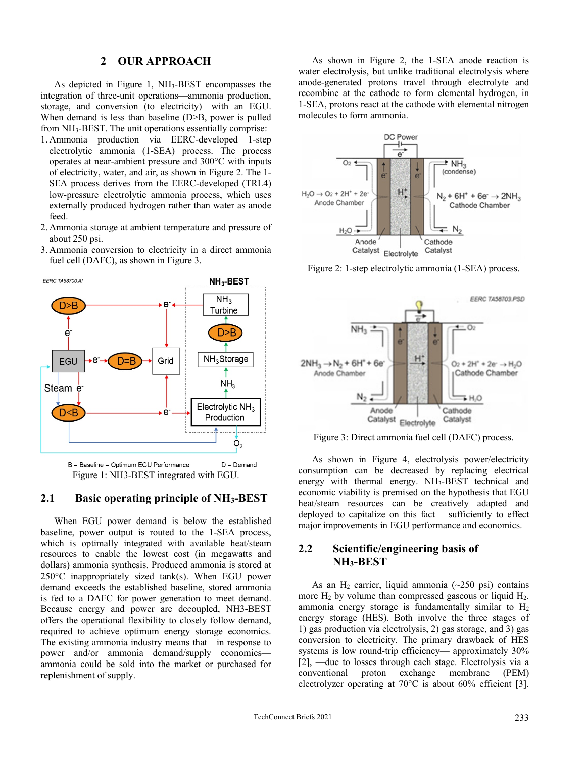#### **2 OUR APPROACH**

As depicted in Figure 1, NH3-BEST encompasses the integration of three-unit operations—ammonia production, storage, and conversion (to electricity)—with an EGU. When demand is less than baseline (D>B, power is pulled from NH3-BEST. The unit operations essentially comprise:

- 1. Ammonia production via EERC-developed 1-step electrolytic ammonia (1-SEA) process. The process operates at near-ambient pressure and 300°C with inputs of electricity, water, and air, as shown in Figure 2. The 1- SEA process derives from the EERC-developed (TRL4) low-pressure electrolytic ammonia process, which uses externally produced hydrogen rather than water as anode feed.
- 2. Ammonia storage at ambient temperature and pressure of about 250 psi.
- 3. Ammonia conversion to electricity in a direct ammonia fuel cell (DAFC), as shown in Figure 3.



Figure 1: NH3-BEST integrated with EGU.

#### **2.1 Basic operating principle of NH3-BEST**

When EGU power demand is below the established baseline, power output is routed to the 1-SEA process, which is optimally integrated with available heat/steam resources to enable the lowest cost (in megawatts and dollars) ammonia synthesis. Produced ammonia is stored at 250°C inappropriately sized tank(s). When EGU power demand exceeds the established baseline, stored ammonia is fed to a DAFC for power generation to meet demand. Because energy and power are decoupled, NH3-BEST offers the operational flexibility to closely follow demand, required to achieve optimum energy storage economics. The existing ammonia industry means that—in response to power and/or ammonia demand/supply economics ammonia could be sold into the market or purchased for replenishment of supply.

As shown in Figure 2, the 1-SEA anode reaction is water electrolysis, but unlike traditional electrolysis where anode-generated protons travel through electrolyte and recombine at the cathode to form elemental hydrogen, in 1-SEA, protons react at the cathode with elemental nitrogen molecules to form ammonia.



Figure 2: 1-step electrolytic ammonia (1-SEA) process.



Figure 3: Direct ammonia fuel cell (DAFC) process.

As shown in Figure 4, electrolysis power/electricity consumption can be decreased by replacing electrical energy with thermal energy. NH<sub>3</sub>-BEST technical and economic viability is premised on the hypothesis that EGU heat/steam resources can be creatively adapted and deployed to capitalize on this fact— sufficiently to effect major improvements in EGU performance and economics.

#### **2.2 Scientific/engineering basis of NH3-BEST**

As an  $H_2$  carrier, liquid ammonia (~250 psi) contains more  $H_2$  by volume than compressed gaseous or liquid  $H_2$ . ammonia energy storage is fundamentally similar to  $H_2$ energy storage (HES). Both involve the three stages of 1) gas production via electrolysis, 2) gas storage, and 3) gas conversion to electricity. The primary drawback of HES systems is low round-trip efficiency— approximately 30% [2], —due to losses through each stage. Electrolysis via a conventional proton exchange membrane (PEM) electrolyzer operating at 70°C is about 60% efficient [3].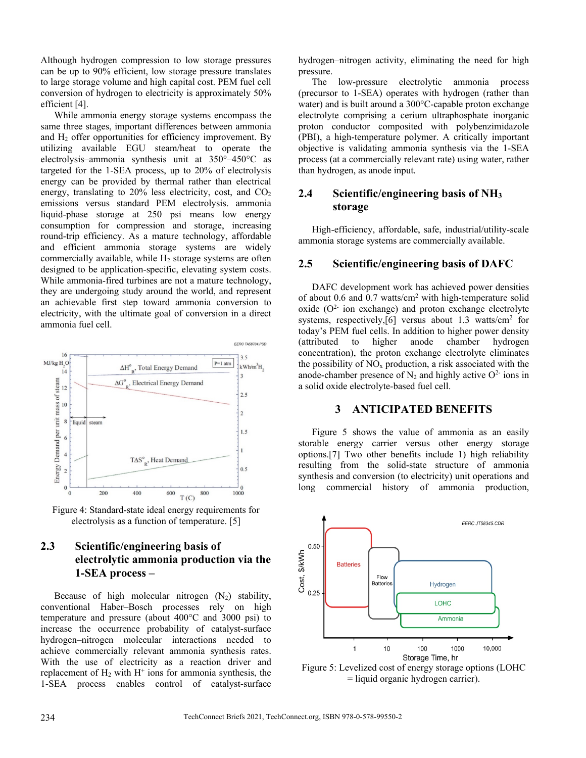Although hydrogen compression to low storage pressures can be up to 90% efficient, low storage pressure translates to large storage volume and high capital cost. PEM fuel cell conversion of hydrogen to electricity is approximately 50% efficient [4].

While ammonia energy storage systems encompass the same three stages, important differences between ammonia and H<sub>2</sub> offer opportunities for efficiency improvement. By utilizing available EGU steam/heat to operate the electrolysis–ammonia synthesis unit at 350°–450°C as targeted for the 1-SEA process, up to 20% of electrolysis energy can be provided by thermal rather than electrical energy, translating to  $20\%$  less electricity, cost, and  $CO<sub>2</sub>$ emissions versus standard PEM electrolysis. ammonia liquid-phase storage at 250 psi means low energy consumption for compression and storage, increasing round-trip efficiency. As a mature technology, affordable and efficient ammonia storage systems are widely commercially available, while  $H_2$  storage systems are often designed to be application-specific, elevating system costs. While ammonia-fired turbines are not a mature technology, they are undergoing study around the world, and represent an achievable first step toward ammonia conversion to electricity, with the ultimate goal of conversion in a direct ammonia fuel cell.



Figure 4: Standard-state ideal energy requirements for electrolysis as a function of temperature. [5]

## **2.3 Scientific/engineering basis of electrolytic ammonia production via the 1-SEA process –**

Because of high molecular nitrogen  $(N_2)$  stability, conventional Haber–Bosch processes rely on high temperature and pressure (about 400°C and 3000 psi) to increase the occurrence probability of catalyst-surface hydrogen–nitrogen molecular interactions needed to achieve commercially relevant ammonia synthesis rates. With the use of electricity as a reaction driver and replacement of  $H_2$  with  $H^+$  ions for ammonia synthesis, the 1-SEA process enables control of catalyst-surface

hydrogen–nitrogen activity, eliminating the need for high pressure.

The low-pressure electrolytic ammonia process (precursor to 1-SEA) operates with hydrogen (rather than water) and is built around a 300°C-capable proton exchange electrolyte comprising a cerium ultraphosphate inorganic proton conductor composited with polybenzimidazole (PBI), a high-temperature polymer. A critically important objective is validating ammonia synthesis via the 1-SEA process (at a commercially relevant rate) using water, rather than hydrogen, as anode input.

## **2.4 Scientific/engineering basis of NH3 storage**

High-efficiency, affordable, safe, industrial/utility-scale ammonia storage systems are commercially available.

## **2.5 Scientific/engineering basis of DAFC**

DAFC development work has achieved power densities of about 0.6 and 0.7 watts/cm<sup>2</sup> with high-temperature solid oxide  $(O<sup>2</sup>$  ion exchange) and proton exchange electrolyte systems, respectively, [6] versus about 1.3 watts/cm<sup>2</sup> for today's PEM fuel cells. In addition to higher power density (attributed to higher anode chamber hydrogen concentration), the proton exchange electrolyte eliminates the possibility of  $NO<sub>x</sub>$  production, a risk associated with the anode-chamber presence of  $N_2$  and highly active  $O<sup>2</sup>$  ions in a solid oxide electrolyte-based fuel cell.

#### **3 ANTICIPATED BENEFITS**

Figure 5 shows the value of ammonia as an easily storable energy carrier versus other energy storage options.[7] Two other benefits include 1) high reliability resulting from the solid-state structure of ammonia synthesis and conversion (to electricity) unit operations and long commercial history of ammonia production,



Figure 5: Levelized cost of energy storage options (LOHC = liquid organic hydrogen carrier).